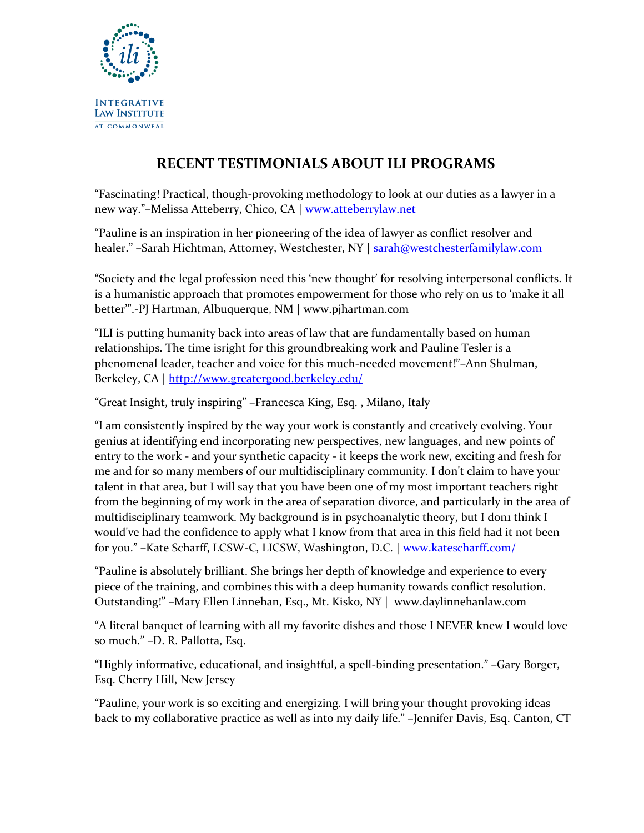

## **RECENT TESTIMONIALS ABOUT ILI PROGRAMS**

"Fascinating! Practical, though-provoking methodology to look at our duties as a lawyer in a new way."–Melissa Atteberry, Chico, CA | [www.atteberrylaw.net](http://www.atteberrylaw.net/)

"Pauline is an inspiration in her pioneering of the idea of lawyer as conflict resolver and healer." -Sarah Hichtman, Attorney, Westchester, NY | [sarah@westchesterfamilylaw.com](mailto:sarah@westchesterfamilylaw.com)

"Society and the legal profession need this 'new thought' for resolving interpersonal conflicts. It is a humanistic approach that promotes empowerment for those who rely on us to 'make it all better'".-PJ Hartman, Albuquerque, NM | www.pjhartman.com

"ILI is putting humanity back into areas of law that are fundamentally based on human relationships. The time isright for this groundbreaking work and Pauline Tesler is a phenomenal leader, teacher and voice for this much-needed movement!"–Ann Shulman, Berkeley, CA |<http://www.greatergood.berkeley.edu/>

"Great Insight, truly inspiring" –Francesca King, Esq. , Milano, Italy

"I am consistently inspired by the way your work is constantly and creatively evolving. Your genius at identifying end incorporating new perspectives, new languages, and new points of entry to the work - and your synthetic capacity - it keeps the work new, exciting and fresh for me and for so many members of our multidisciplinary community. I don't claim to have your talent in that area, but I will say that you have been one of my most important teachers right from the beginning of my work in the area of separation divorce, and particularly in the area of multidisciplinary teamwork. My background is in psychoanalytic theory, but I doni think I would've had the confidence to apply what I know from that area in this field had it not been for you." -Kate Scharff, LCSW-C, LICSW, Washington, D.C. | [www.katescharff.com/](http://www.katescharff.com/)

"Pauline is absolutely brilliant. She brings her depth of knowledge and experience to every piece of the training, and combines this with a deep humanity towards conflict resolution. Outstanding!" –Mary Ellen Linnehan, Esq., Mt. Kisko, NY | www.daylinnehanlaw.com

"A literal banquet of learning with all my favorite dishes and those I NEVER knew I would love so much." –D. R. Pallotta, Esq.

"Highly informative, educational, and insightful, a spell-binding presentation." –Gary Borger, Esq. Cherry Hill, New Jersey

"Pauline, your work is so exciting and energizing. I will bring your thought provoking ideas back to my collaborative practice as well as into my daily life." –Jennifer Davis, Esq. Canton, CT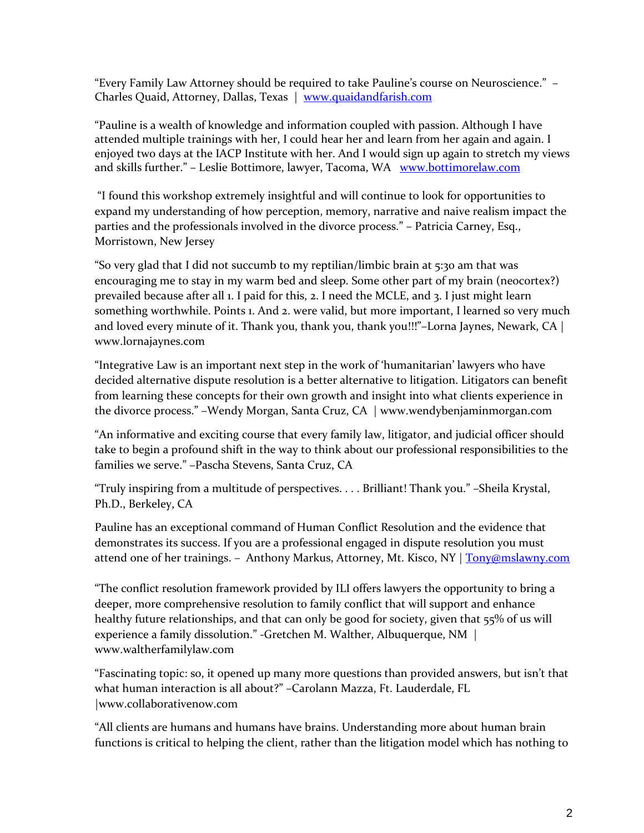"Every Family Law Attorney should be required to take Pauline's course on Neuroscience." – Charles Quaid, Attorney, Dallas, Texas | [www.quaidandfarish.com](http://www.quaidandfarish.com/)

"Pauline is a wealth of knowledge and information coupled with passion. Although I have attended multiple trainings with her, I could hear her and learn from her again and again. I enjoyed two days at the IACP Institute with her. And I would sign up again to stretch my views and skills further." - Leslie Bottimore, lawyer, Tacoma, WA [www.bottimorelaw.com](http://www.bottimorelaw.com/)

"I found this workshop extremely insightful and will continue to look for opportunities to expand my understanding of how perception, memory, narrative and naive realism impact the parties and the professionals involved in the divorce process." – Patricia Carney, Esq., Morristown, New Jersey

"So very glad that I did not succumb to my reptilian/limbic brain at 5:30 am that was encouraging me to stay in my warm bed and sleep. Some other part of my brain (neocortex?) prevailed because after all 1. I paid for this, 2. I need the MCLE, and 3. I just might learn something worthwhile. Points 1. And 2. were valid, but more important, I learned so very much and loved every minute of it. Thank you, thank you, thank you!!!"–Lorna Jaynes, Newark, CA | www.lornajaynes.com

"Integrative Law is an important next step in the work of 'humanitarian' lawyers who have decided alternative dispute resolution is a better alternative to litigation. Litigators can benefit from learning these concepts for their own growth and insight into what clients experience in the divorce process." –Wendy Morgan, Santa Cruz, CA | www.wendybenjaminmorgan.com

"An informative and exciting course that every family law, litigator, and judicial officer should take to begin a profound shift in the way to think about our professional responsibilities to the families we serve." –Pascha Stevens, Santa Cruz, CA

"Truly inspiring from a multitude of perspectives. . . . Brilliant! Thank you." –Sheila Krystal, Ph.D., Berkeley, CA

Pauline has an exceptional command of Human Conflict Resolution and the evidence that demonstrates its success. If you are a professional engaged in dispute resolution you must attend one of her trainings. - Anthony Markus, Attorney, Mt. Kisco, NY | [Tony@mslawny.com](mailto:Tony@mslawny.com)

"The conflict resolution framework provided by ILI offers lawyers the opportunity to bring a deeper, more comprehensive resolution to family conflict that will support and enhance healthy future relationships, and that can only be good for society, given that 55% of us will experience a family dissolution." -Gretchen M. Walther, Albuquerque, NM | www.waltherfamilylaw.com

"Fascinating topic: so, it opened up many more questions than provided answers, but isn't that what human interaction is all about?" –Carolann Mazza, Ft. Lauderdale, FL |www.collaborativenow.com

"All clients are humans and humans have brains. Understanding more about human brain functions is critical to helping the client, rather than the litigation model which has nothing to